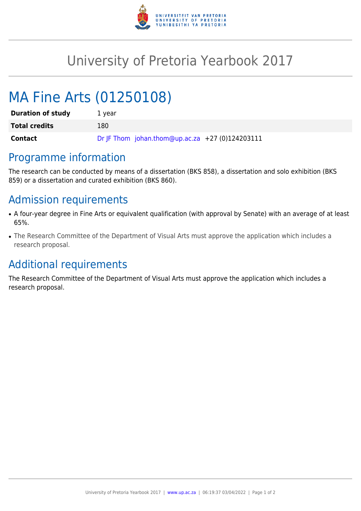

## University of Pretoria Yearbook 2017

# MA Fine Arts (01250108)

| <b>Duration of study</b> | 1 year                                          |
|--------------------------|-------------------------------------------------|
| <b>Total credits</b>     | 180                                             |
| Contact                  | Dr JF Thom johan.thom@up.ac.za +27 (0)124203111 |

#### Programme information

The research can be conducted by means of a dissertation (BKS 858), a dissertation and solo exhibition (BKS 859) or a dissertation and curated exhibition (BKS 860).

## Admission requirements

- A four-year degree in Fine Arts or equivalent qualification (with approval by Senate) with an average of at least 65%.
- The Research Committee of the Department of Visual Arts must approve the application which includes a research proposal.

#### Additional requirements

The Research Committee of the Department of Visual Arts must approve the application which includes a research proposal.